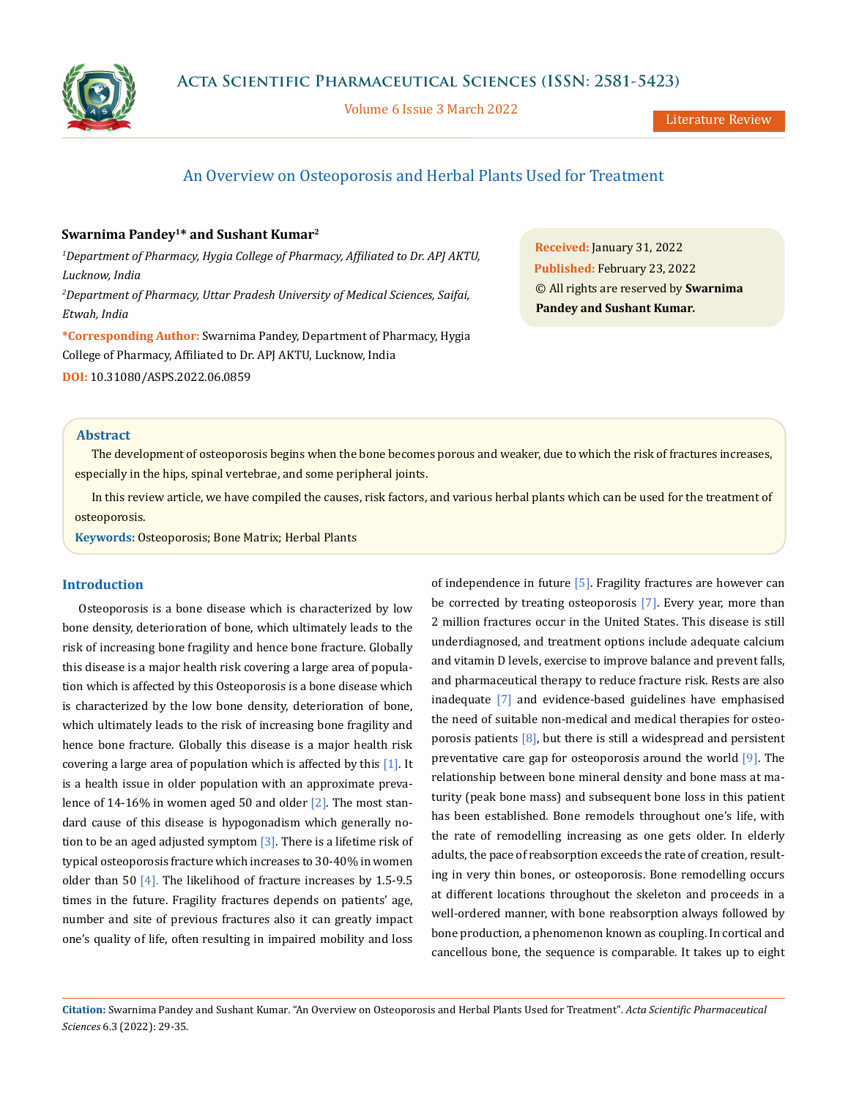

Volume 6 Issue 3 March 2022

# An Overview on Osteoporosis and Herbal Plants Used for Treatment

# **Swarnima Pandey1\* and Sushant Kumar2**

*1 Department of Pharmacy, Hygia College of Pharmacy, Affiliated to Dr. APJ AKTU, Lucknow, India 2 Department of Pharmacy, Uttar Pradesh University of Medical Sciences, Saifai, Etwah, India*

**\*Corresponding Author:** Swarnima Pandey, Department of Pharmacy, Hygia College of Pharmacy, Affiliated to Dr. APJ AKTU, Lucknow, India

**DOI:** [10.31080/ASPS.2022.06.08](http://actascientific.com/ASPS/pdf/ASPS-06-0859.pdf)59

**Received:** January 31, 2022 **Published:** February 23, 2022 © All rights are reserved by **Swarnima Pandey and Sushant Kumar***.*

#### **Abstract**

The development of osteoporosis begins when the bone becomes porous and weaker, due to which the risk of fractures increases, especially in the hips, spinal vertebrae, and some peripheral joints.

In this review article, we have compiled the causes, risk factors, and various herbal plants which can be used for the treatment of osteoporosis.

**Keywords:** Osteoporosis; Bone Matrix; Herbal Plants

# **Introduction**

Osteoporosis is a bone disease which is characterized by low bone density, deterioration of bone, which ultimately leads to the risk of increasing bone fragility and hence bone fracture. Globally this disease is a major health risk covering a large area of population which is affected by this Osteoporosis is a bone disease which is characterized by the low bone density, deterioration of bone, which ultimately leads to the risk of increasing bone fragility and hence bone fracture. Globally this disease is a major health risk covering a large area of population which is affected by this [1]. It is a health issue in older population with an approximate prevalence of 14-16% in women aged 50 and older  $\lceil 2 \rceil$ . The most standard cause of this disease is hypogonadism which generally notion to be an aged adjusted symptom  $\lceil 3 \rceil$ . There is a lifetime risk of typical osteoporosis fracture which increases to 30-40% in women older than 50 [4]. The likelihood of fracture increases by 1.5-9.5 times in the future. Fragility fractures depends on patients' age, number and site of previous fractures also it can greatly impact one's quality of life, often resulting in impaired mobility and loss of independence in future [5]. Fragility fractures are however can be corrected by treating osteoporosis [7]. Every year, more than 2 million fractures occur in the United States. This disease is still underdiagnosed, and treatment options include adequate calcium and vitamin D levels, exercise to improve balance and prevent falls, and pharmaceutical therapy to reduce fracture risk. Rests are also inadequate [7] and evidence-based guidelines have emphasised the need of suitable non-medical and medical therapies for osteoporosis patients  $[8]$ , but there is still a widespread and persistent preventative care gap for osteoporosis around the world [9]. The relationship between bone mineral density and bone mass at maturity (peak bone mass) and subsequent bone loss in this patient has been established. Bone remodels throughout one's life, with the rate of remodelling increasing as one gets older. In elderly adults, the pace of reabsorption exceeds the rate of creation, resulting in very thin bones, or osteoporosis. Bone remodelling occurs at different locations throughout the skeleton and proceeds in a well-ordered manner, with bone reabsorption always followed by bone production, a phenomenon known as coupling. In cortical and cancellous bone, the sequence is comparable. It takes up to eight

**Citation:** Swarnima Pandey and Sushant Kumar*.* "An Overview on Osteoporosis and Herbal Plants Used for Treatment". *Acta Scientific Pharmaceutical Sciences* 6.3 (2022): 29-35.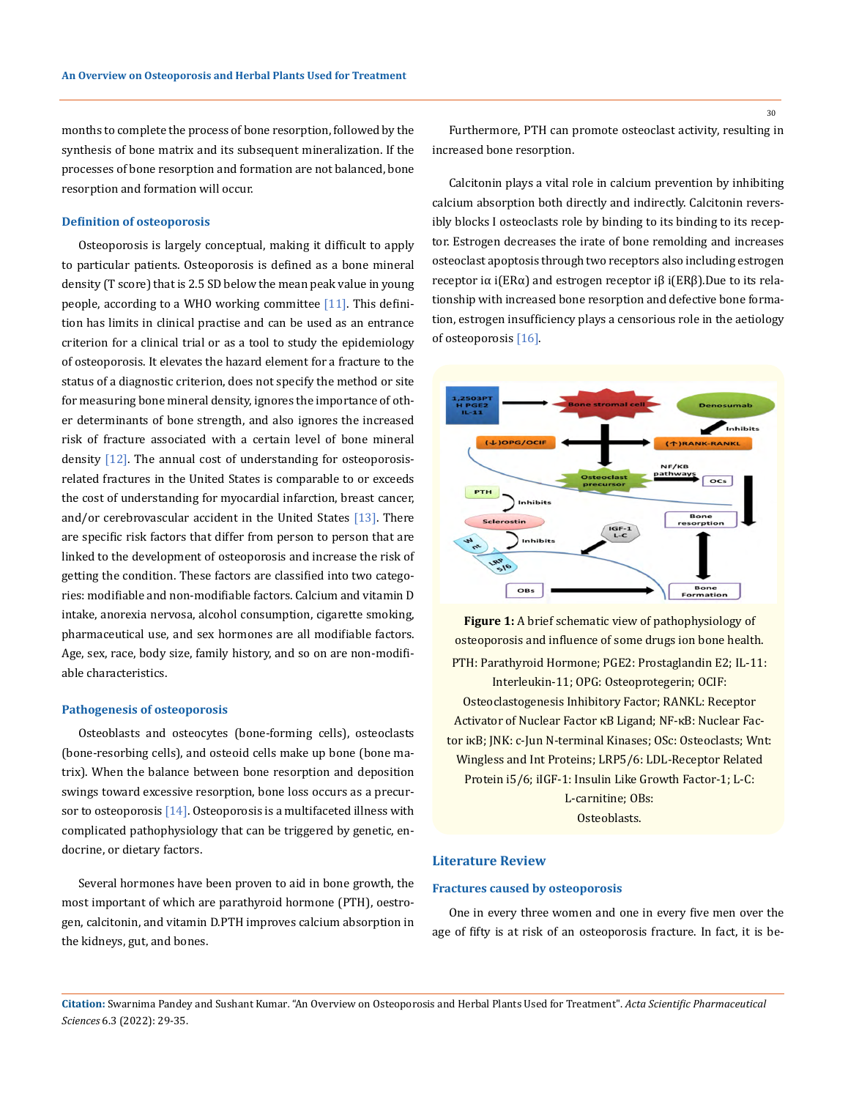months to complete the process of bone resorption, followed by the synthesis of bone matrix and its subsequent mineralization. If the processes of bone resorption and formation are not balanced, bone resorption and formation will occur.

#### **Definition of osteoporosis**

Osteoporosis is largely conceptual, making it difficult to apply to particular patients. Osteoporosis is defined as a bone mineral density (T score) that is 2.5 SD below the mean peak value in young people, according to a WHO working committee [11]. This definition has limits in clinical practise and can be used as an entrance criterion for a clinical trial or as a tool to study the epidemiology of osteoporosis. It elevates the hazard element for a fracture to the status of a diagnostic criterion, does not specify the method or site for measuring bone mineral density, ignores the importance of other determinants of bone strength, and also ignores the increased risk of fracture associated with a certain level of bone mineral density  $[12]$ . The annual cost of understanding for osteoporosisrelated fractures in the United States is comparable to or exceeds the cost of understanding for myocardial infarction, breast cancer, and/or cerebrovascular accident in the United States [13]. There are specific risk factors that differ from person to person that are linked to the development of osteoporosis and increase the risk of getting the condition. These factors are classified into two categories: modifiable and non-modifiable factors. Calcium and vitamin D intake, anorexia nervosa, alcohol consumption, cigarette smoking, pharmaceutical use, and sex hormones are all modifiable factors. Age, sex, race, body size, family history, and so on are non-modifiable characteristics.

#### **Pathogenesis of osteoporosis**

Osteoblasts and osteocytes (bone-forming cells), osteoclasts (bone-resorbing cells), and osteoid cells make up bone (bone matrix). When the balance between bone resorption and deposition swings toward excessive resorption, bone loss occurs as a precursor to osteoporosis  $[14]$ . Osteoporosis is a multifaceted illness with complicated pathophysiology that can be triggered by genetic, endocrine, or dietary factors.

Several hormones have been proven to aid in bone growth, the most important of which are parathyroid hormone (PTH), oestrogen, calcitonin, and vitamin D.PTH improves calcium absorption in the kidneys, gut, and bones.

Furthermore, PTH can promote osteoclast activity, resulting in increased bone resorption.

Calcitonin plays a vital role in calcium prevention by inhibiting calcium absorption both directly and indirectly. Calcitonin reversibly blocks I osteoclasts role by binding to its binding to its receptor. Estrogen decreases the irate of bone remolding and increases osteoclast apoptosis through two receptors also including estrogen receptor iα i(ERα) and estrogen receptor iβ i(ERβ).Due to its relationship with increased bone resorption and defective bone formation, estrogen insufficiency plays a censorious role in the aetiology of osteoporosis [16].



**Figure 1:** A brief schematic view of pathophysiology of osteoporosis and influence of some drugs ion bone health. PTH: Parathyroid Hormone; PGE2: Prostaglandin E2; IL-11: Interleukin-11; OPG: Osteoprotegerin; OCIF: Osteoclastogenesis Inhibitory Factor; RANKL: Receptor Activator of Nuclear Factor κB Ligand; NF-κB: Nuclear Factor iκB; JNK: c-Jun N-terminal Kinases; OSc: Osteoclasts; Wnt: Wingless and Int Proteins; LRP5/6: LDL-Receptor Related Protein i5/6; iIGF-1: Insulin Like Growth Factor-1; L-C: L-carnitine; OBs: Osteoblasts.

# **Literature Review**

#### **Fractures caused by osteoporosis**

One in every three women and one in every five men over the age of fifty is at risk of an osteoporosis fracture. In fact, it is be-

**Citation:** Swarnima Pandey and Sushant Kumar*.* "An Overview on Osteoporosis and Herbal Plants Used for Treatment". *Acta Scientific Pharmaceutical Sciences* 6.3 (2022): 29-35.

30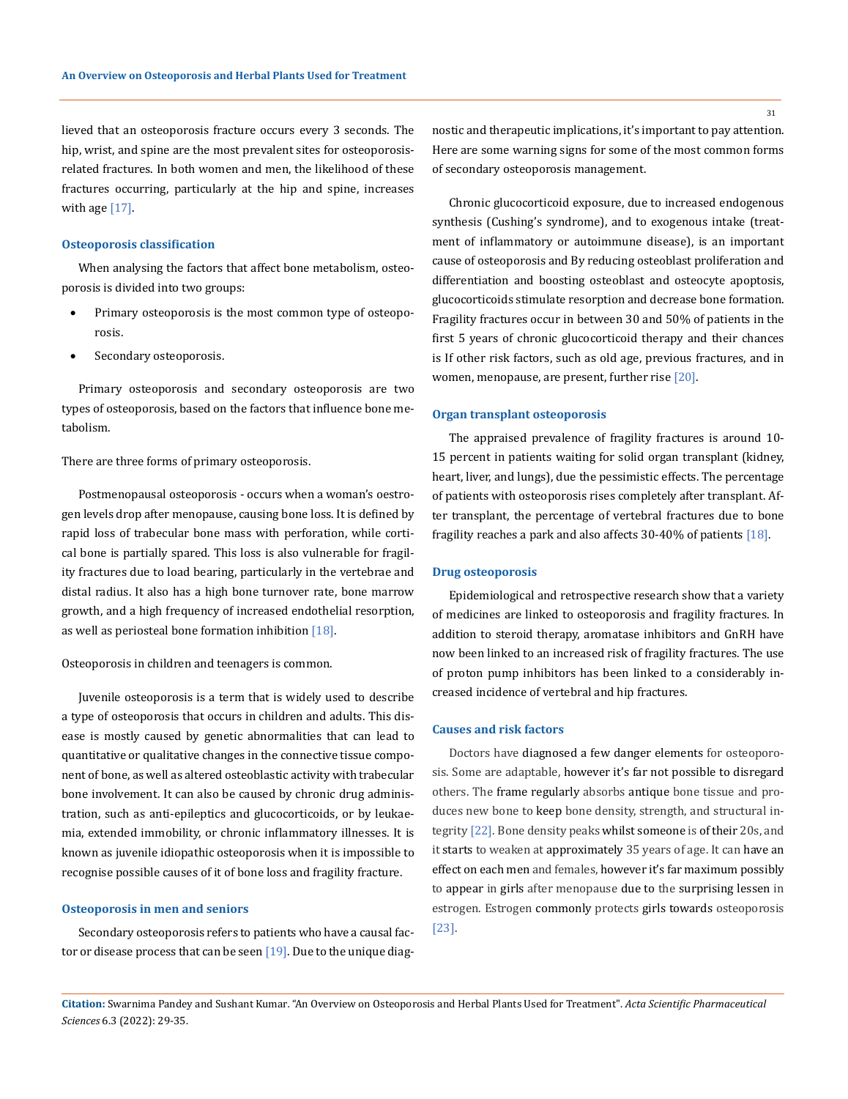lieved that an osteoporosis fracture occurs every 3 seconds. The hip, wrist, and spine are the most prevalent sites for osteoporosisrelated fractures. In both women and men, the likelihood of these fractures occurring, particularly at the hip and spine, increases with age  $[17]$ .

# **Osteoporosis classification**

When analysing the factors that affect bone metabolism, osteoporosis is divided into two groups:

- Primary osteoporosis is the most common type of osteoporosis.
- Secondary osteoporosis.

Primary osteoporosis and secondary osteoporosis are two types of osteoporosis, based on the factors that influence bone metabolism.

There are three forms of primary osteoporosis.

Postmenopausal osteoporosis - occurs when a woman's oestrogen levels drop after menopause, causing bone loss. It is defined by rapid loss of trabecular bone mass with perforation, while cortical bone is partially spared. This loss is also vulnerable for fragility fractures due to load bearing, particularly in the vertebrae and distal radius. It also has a high bone turnover rate, bone marrow growth, and a high frequency of increased endothelial resorption, as well as periosteal bone formation inhibition [18].

# Osteoporosis in children and teenagers is common.

Juvenile osteoporosis is a term that is widely used to describe a type of osteoporosis that occurs in children and adults. This disease is mostly caused by genetic abnormalities that can lead to quantitative or qualitative changes in the connective tissue component of bone, as well as altered osteoblastic activity with trabecular bone involvement. It can also be caused by chronic drug administration, such as anti-epileptics and glucocorticoids, or by leukaemia, extended immobility, or chronic inflammatory illnesses. It is known as juvenile idiopathic osteoporosis when it is impossible to recognise possible causes of it of bone loss and fragility fracture.

# **Osteoporosis in men and seniors**

Secondary osteoporosis refers to patients who have a causal factor or disease process that can be seen  $[19]$ . Due to the unique diagnostic and therapeutic implications, it's important to pay attention. Here are some warning signs for some of the most common forms of secondary osteoporosis management.

Chronic glucocorticoid exposure, due to increased endogenous synthesis (Cushing's syndrome), and to exogenous intake (treatment of inflammatory or autoimmune disease), is an important cause of osteoporosis and By reducing osteoblast proliferation and differentiation and boosting osteoblast and osteocyte apoptosis, glucocorticoids stimulate resorption and decrease bone formation. Fragility fractures occur in between 30 and 50% of patients in the first 5 years of chronic glucocorticoid therapy and their chances is If other risk factors, such as old age, previous fractures, and in women, menopause, are present, further rise [20].

### **Organ transplant osteoporosis**

The appraised prevalence of fragility fractures is around 10- 15 percent in patients waiting for solid organ transplant (kidney, heart, liver, and lungs), due the pessimistic effects. The percentage of patients with osteoporosis rises completely after transplant. After transplant, the percentage of vertebral fractures due to bone fragility reaches a park and also affects 30-40% of patients [18].

#### **Drug osteoporosis**

Epidemiological and retrospective research show that a variety of medicines are linked to osteoporosis and fragility fractures. In addition to steroid therapy, aromatase inhibitors and GnRH have now been linked to an increased risk of fragility fractures. The use of proton pump inhibitors has been linked to a considerably increased incidence of vertebral and hip fractures.

#### **Causes and risk factors**

Doctors have diagnosed a few danger elements for osteoporosis. Some are adaptable, however it's far not possible to disregard others. The frame regularly absorbs antique bone tissue and produces new bone to keep bone density, strength, and structural integrity [22]. Bone density peaks whilst someone is of their 20s, and it starts to weaken at approximately 35 years of age. It can have an effect on each men and females, however it's far maximum possibly to appear in girls after menopause due to the surprising lessen in estrogen. Estrogen commonly protects girls towards osteoporosis [23].

**Citation:** Swarnima Pandey and Sushant Kumar*.* "An Overview on Osteoporosis and Herbal Plants Used for Treatment". *Acta Scientific Pharmaceutical Sciences* 6.3 (2022): 29-35.

31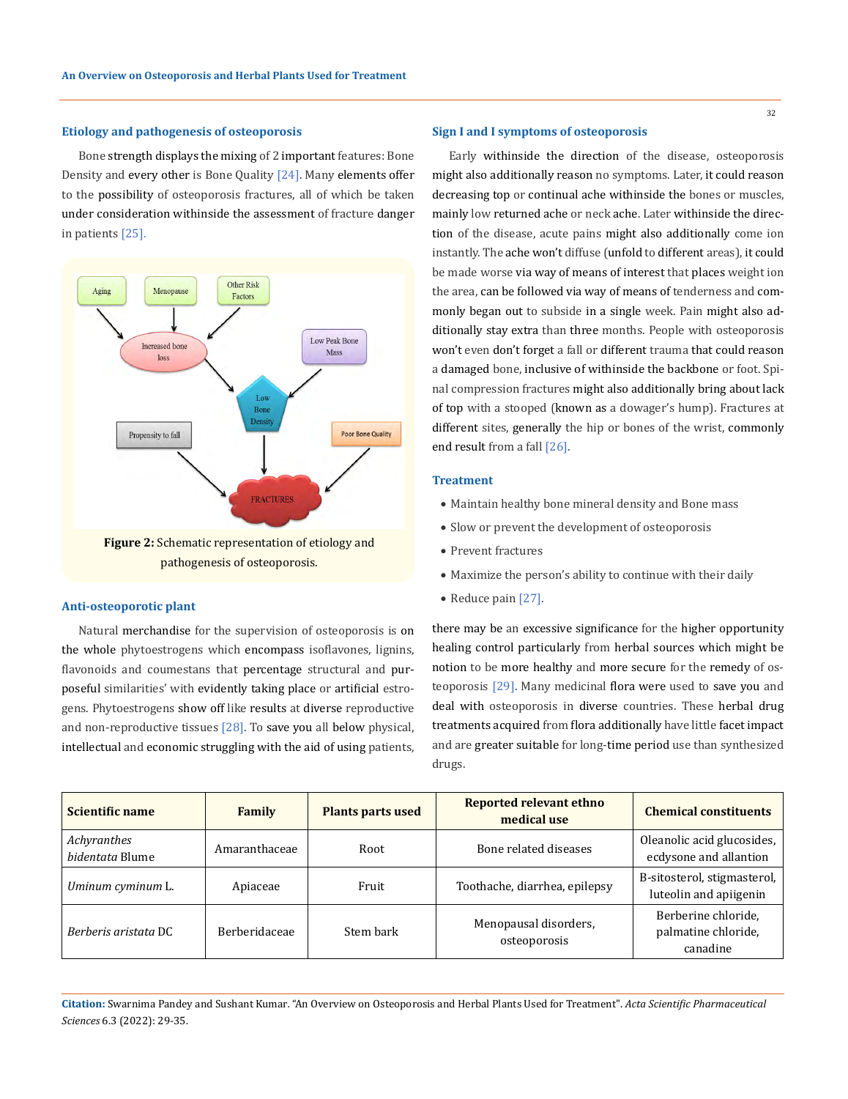#### **Etiology and pathogenesis of osteoporosis**

Bone strength displays the mixing of 2 important features: Bone Density and every other is Bone Quality [24]. Many elements offer to the possibility of osteoporosis fractures, all of which be taken under consideration withinside the assessment of fracture danger in patients [25].



pathogenesis of osteoporosis.

# **Anti-osteoporotic plant and the contract of the contract of the Reduce pain [27].**

Natural merchandise for the supervision of osteoporosis is on the whole phytoestrogens which encompass isoflavones, lignins, flavonoids and coumestans that percentage structural and purposeful similarities' with evidently taking place or artificial estrogens. Phytoestrogens show off like results at diverse reproductive and non-reproductive tissues  $[28]$ . To save you all below physical, intellectual and economic struggling with the aid of using patients,

#### **Sign I and I symptoms of osteoporosis**

Early withinside the direction of the disease, osteoporosis might also additionally reason no symptoms. Later, it could reason decreasing top or continual ache withinside the bones or muscles, mainly low returned ache or neck ache. Later withinside the direction of the disease, acute pains might also additionally come ion instantly. The ache won't diffuse (unfold to different areas), it could be made worse via way of means of interest that places weight ion the area, can be followed via way of means of tenderness and commonly began out to subside in a single week. Pain might also additionally stay extra than three months. People with osteoporosis won't even don't forget a fall or different trauma that could reason a damaged bone, inclusive of withinside the backbone or foot. Spinal compression fractures might also additionally bring about lack of top with a stooped (known as a dowager's hump). Fractures at different sites, generally the hip or bones of the wrist, commonly end result from a fall [26].

# **Treatment**

- • Maintain healthy bone mineral density and Bone mass
- Slow or prevent the development of osteoporosis
- • Prevent fractures
- Maximize the person's ability to continue with their daily
- 

there may be an excessive significance for the higher opportunity healing control particularly from herbal sources which might be notion to be more healthy and more secure for the remedy of osteoporosis [29]. Many medicinal flora were used to save you and deal with osteoporosis in diverse countries. These herbal drug treatments acquired from flora additionally have little facet impact and are greater suitable for long-time period use than synthesized drugs.

| Scientific name                | Family               | <b>Plants parts used</b> | <b>Reported relevant ethno</b><br>medical use | <b>Chemical constituents</b>                            |
|--------------------------------|----------------------|--------------------------|-----------------------------------------------|---------------------------------------------------------|
| Achyranthes<br>bidentata Blume | Amaranthaceae        | Root                     | Bone related diseases                         | Oleanolic acid glucosides,<br>ecdysone and allantion    |
| Uminum cyminum L.              | Apiaceae             | Fruit                    | Toothache, diarrhea, epilepsy                 | B-sitosterol, stigmasterol,  <br>luteolin and apiigenin |
| Berberis aristata DC           | <b>Berberidaceae</b> | Stem bark                | Menopausal disorders,<br>osteoporosis         | Berberine chloride,<br>palmatine chloride,<br>canadine  |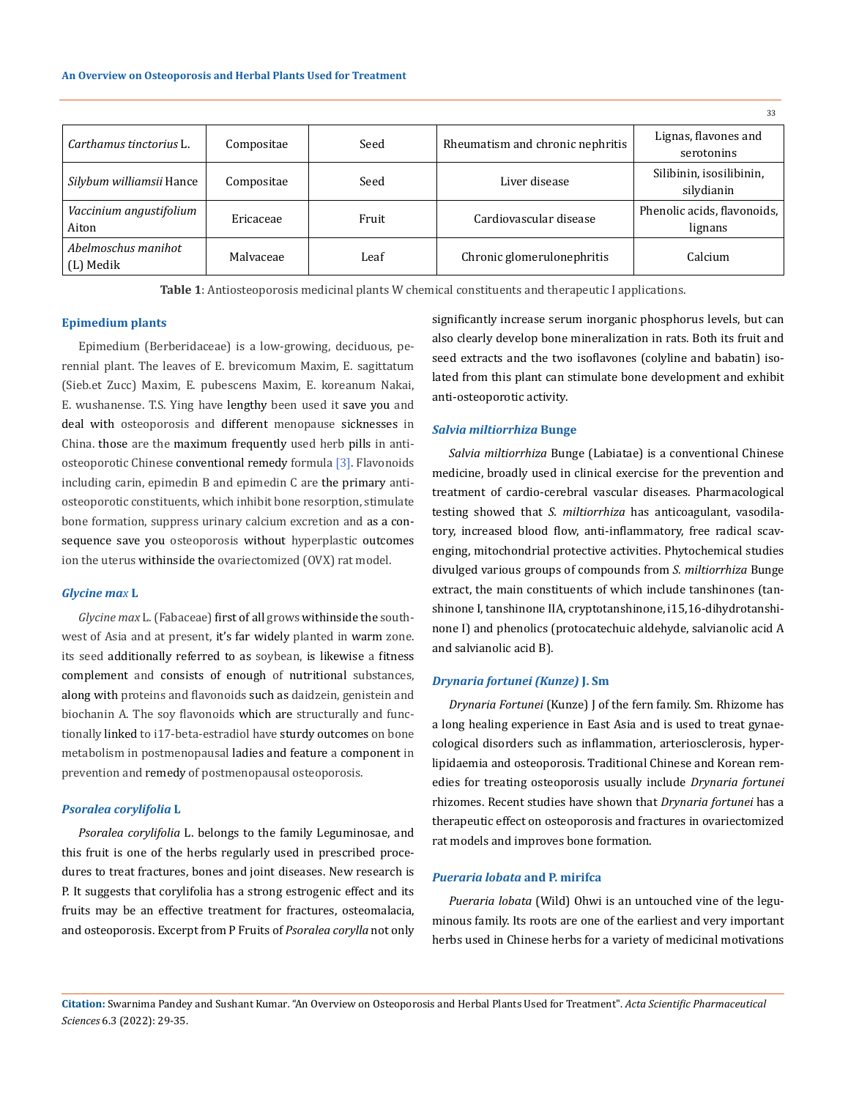|                                  |            |       |                                  | 33                                     |
|----------------------------------|------------|-------|----------------------------------|----------------------------------------|
| Carthamus tinctorius L.          | Compositae | Seed  | Rheumatism and chronic nephritis | Lignas, flavones and<br>serotonins     |
| Silybum williamsii Hance         | Compositae | Seed  | Liver disease                    | Silibinin, isosilibinin,<br>silydianin |
| Vaccinium angustifolium<br>Aiton | Ericaceae  | Fruit | Cardiovascular disease           | Phenolic acids, flavonoids,<br>lignans |
| Abelmoschus manihot<br>(L) Medik | Malvaceae  | Leaf  | Chronic glomerulonephritis       | Calcium                                |

**Table 1**: Antiosteoporosis medicinal plants W chemical constituents and therapeutic I applications.

#### **Epimedium plants**

Epimedium (Berberidaceae) is a low-growing, deciduous, perennial plant. The leaves of E. brevicomum Maxim, E. sagittatum (Sieb.et Zucc) Maxim, E. pubescens Maxim, E. koreanum Nakai, E. wushanense. T.S. Ying have lengthy been used it save you and deal with osteoporosis and different menopause sicknesses in China. those are the maximum frequently used herb pills in antiosteoporotic Chinese conventional remedy formula [3]. Flavonoids including carin, epimedin B and epimedin C are the primary antiosteoporotic constituents, which inhibit bone resorption, stimulate bone formation, suppress urinary calcium excretion and as a consequence save you osteoporosis without hyperplastic outcomes ion the uterus withinside the ovariectomized (OVX) rat model.

# *Glycine max* **L**

*Glycine max* L. (Fabaceae) first of all grows withinside the southwest of Asia and at present, it's far widely planted in warm zone. its seed additionally referred to as soybean, is likewise a fitness complement and consists of enough of nutritional substances, along with proteins and flavonoids such as daidzein, genistein and biochanin A. The soy flavonoids which are structurally and functionally linked to i17-beta-estradiol have sturdy outcomes on bone metabolism in postmenopausal ladies and feature a component in prevention and remedy of postmenopausal osteoporosis.

#### *Psoralea corylifolia* **L**

*Psoralea corylifolia* L. belongs to the family Leguminosae, and this fruit is one of the herbs regularly used in prescribed procedures to treat fractures, bones and joint diseases. New research is P. It suggests that corylifolia has a strong estrogenic effect and its fruits may be an effective treatment for fractures, osteomalacia, and osteoporosis. Excerpt from P Fruits of *Psoralea corylla* not only significantly increase serum inorganic phosphorus levels, but can also clearly develop bone mineralization in rats. Both its fruit and seed extracts and the two isoflavones (colyline and babatin) isolated from this plant can stimulate bone development and exhibit anti-osteoporotic activity.

#### *Salvia miltiorrhiza* **Bunge**

*Salvia miltiorrhiza* Bunge (Labiatae) is a conventional Chinese medicine, broadly used in clinical exercise for the prevention and treatment of cardio-cerebral vascular diseases. Pharmacological testing showed that *S. miltiorrhiza* has anticoagulant, vasodilatory, increased blood flow, anti-inflammatory, free radical scavenging, mitochondrial protective activities. Phytochemical studies divulged various groups of compounds from *S. miltiorrhiza* Bunge extract, the main constituents of which include tanshinones (tanshinone I, tanshinone IIA, cryptotanshinone, i15,16-dihydrotanshinone I) and phenolics (protocatechuic aldehyde, salvianolic acid A and salvianolic acid B).

#### *Drynaria fortunei (Kunze)* **J. Sm**

*Drynaria Fortunei* (Kunze) J of the fern family. Sm. Rhizome has a long healing experience in East Asia and is used to treat gynaecological disorders such as inflammation, arteriosclerosis, hyperlipidaemia and osteoporosis. Traditional Chinese and Korean remedies for treating osteoporosis usually include *Drynaria fortunei* rhizomes. Recent studies have shown that *Drynaria fortunei* has a therapeutic effect on osteoporosis and fractures in ovariectomized rat models and improves bone formation.

# *Pueraria lobata* **and P. mirifca**

*Pueraria lobata* (Wild) Ohwi is an untouched vine of the leguminous family. Its roots are one of the earliest and very important herbs used in Chinese herbs for a variety of medicinal motivations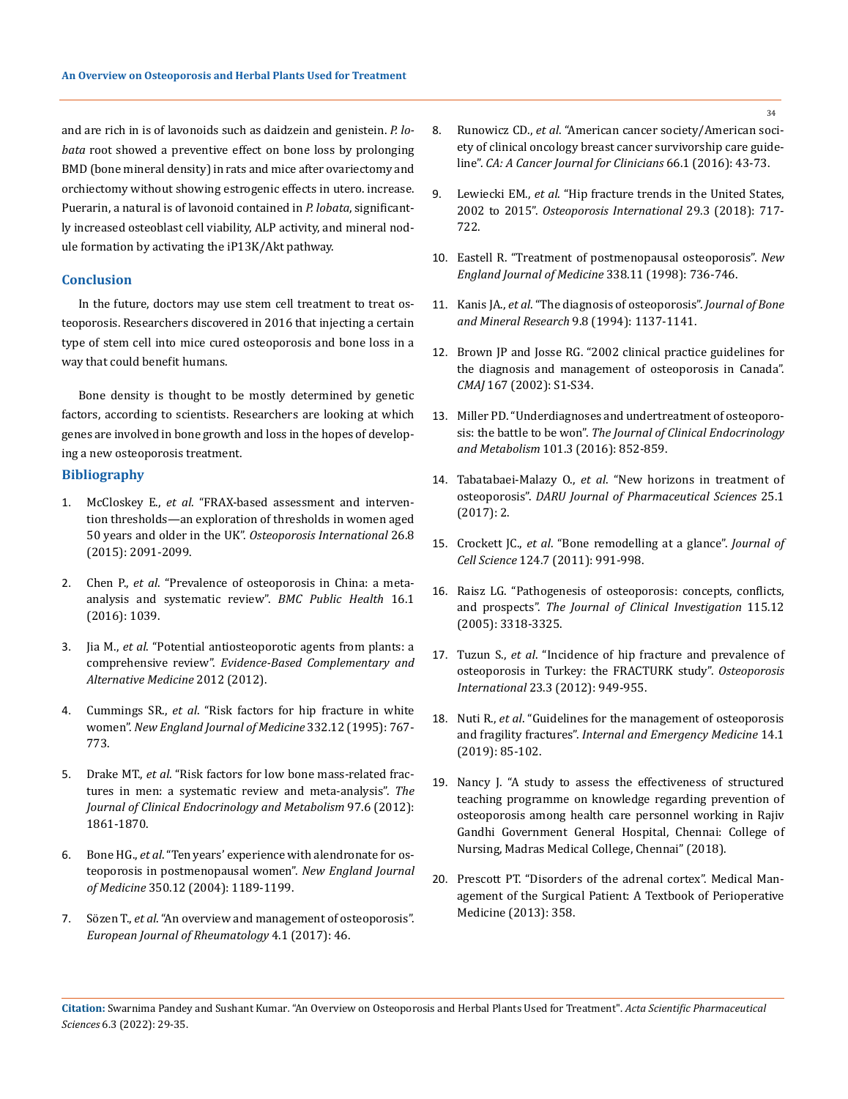and are rich in is of lavonoids such as daidzein and genistein. *P. lobata* root showed a preventive effect on bone loss by prolonging BMD (bone mineral density) in rats and mice after ovariectomy and orchiectomy without showing estrogenic effects in utero. increase. Puerarin, a natural is of lavonoid contained in *P. lobata*, significantly increased osteoblast cell viability, ALP activity, and mineral nodule formation by activating the iP13K/Akt pathway.

# **Conclusion**

In the future, doctors may use stem cell treatment to treat osteoporosis. Researchers discovered in 2016 that injecting a certain type of stem cell into mice cured osteoporosis and bone loss in a way that could benefit humans.

Bone density is thought to be mostly determined by genetic factors, according to scientists. Researchers are looking at which genes are involved in bone growth and loss in the hopes of developing a new osteoporosis treatment.

#### **Bibliography**

- 1. McCloskey E., *et al*[. "FRAX-based assessment and interven](https://pubmed.ncbi.nlm.nih.gov/26077380/)[tion thresholds—an exploration of thresholds in women aged](https://pubmed.ncbi.nlm.nih.gov/26077380/)  [50 years and older in the UK".](https://pubmed.ncbi.nlm.nih.gov/26077380/) *Osteoporosis International* 26.8 [\(2015\): 2091-2099.](https://pubmed.ncbi.nlm.nih.gov/26077380/)
- 2. Chen P., *et al*. "Prevalence of osteoporosis in China: a metaanalysis and systematic review". *BMC Public Health* 16.1 (2016): 1039.
- 3. Jia M., *et al*[. "Potential antiosteoporotic agents from plants: a](https://www.hindawi.com/journals/ecam/2012/364604/)  comprehensive review". *[Evidence-Based Complementary and](https://www.hindawi.com/journals/ecam/2012/364604/)  [Alternative Medicine](https://www.hindawi.com/journals/ecam/2012/364604/)* 2012 (2012).
- 4. Cummings SR., *et al*[. "Risk factors for hip fracture in white](https://pubmed.ncbi.nlm.nih.gov/7862179/)  women". *[New England Journal of Medicine](https://pubmed.ncbi.nlm.nih.gov/7862179/)* 332.12 (1995): 767- [773.](https://pubmed.ncbi.nlm.nih.gov/7862179/)
- 5. Drake MT., *et al*[. "Risk factors for low bone mass-related frac](https://academic.oup.com/jcem/article/97/6/1861/2536556)[tures in men: a systematic review and meta-analysis".](https://academic.oup.com/jcem/article/97/6/1861/2536556) *The [Journal of Clinical Endocrinology and Metabolism](https://academic.oup.com/jcem/article/97/6/1861/2536556)* 97.6 (2012): [1861-1870.](https://academic.oup.com/jcem/article/97/6/1861/2536556)
- 6. Bone HG., *et al*. "Ten years' experience with alendronate for osteoporosis in postmenopausal women". *New England Journal of Medicine* 350.12 (2004): 1189-1199.
- 7. Sözen T., *et al*[. "An overview and management of osteoporosis".](https://www.ncbi.nlm.nih.gov/pmc/articles/PMC5335887/)  *[European Journal of Rheumatology](https://www.ncbi.nlm.nih.gov/pmc/articles/PMC5335887/)* 4.1 (2017): 46.
- 8. Runowicz CD., *et al*[. "American cancer society/American soci](https://pubmed.ncbi.nlm.nih.gov/26641959/)[ety of clinical oncology breast cancer survivorship care guide](https://pubmed.ncbi.nlm.nih.gov/26641959/)line". *[CA: A Cancer Journal for Clinicians](https://pubmed.ncbi.nlm.nih.gov/26641959/)* 66.1 (2016): 43-73.
- 9. Lewiecki EM., *et al*[. "Hip fracture trends in the United States,](https://pubmed.ncbi.nlm.nih.gov/29282482/)  2002 to 2015". *[Osteoporosis International](https://pubmed.ncbi.nlm.nih.gov/29282482/)* 29.3 (2018): 717- [722.](https://pubmed.ncbi.nlm.nih.gov/29282482/)
- 10. Eastell R. "Treatment of postmenopausal osteoporosis". *New England Journal of Medicine* 338.11 (1998): 736-746.
- 11. Kanis JA., *et al*[. "The diagnosis of osteoporosis".](https://pubmed.ncbi.nlm.nih.gov/7976495/) *Journal of Bone [and Mineral Research](https://pubmed.ncbi.nlm.nih.gov/7976495/)* 9.8 (1994): 1137-1141.
- 12. [Brown JP and Josse RG. "2002 clinical practice guidelines for](https://www.cmaj.ca/content/167/10_suppl/S1)  [the diagnosis and management of osteoporosis in Canada".](https://www.cmaj.ca/content/167/10_suppl/S1)  *CMAJ* [167 \(2002\): S1-S34.](https://www.cmaj.ca/content/167/10_suppl/S1)
- 13. [Miller PD. "Underdiagnoses and undertreatment of osteoporo](https://pubmed.ncbi.nlm.nih.gov/26909798/)sis: the battle to be won". *[The Journal of Clinical Endocrinology](https://pubmed.ncbi.nlm.nih.gov/26909798/)  and Metabolism* [101.3 \(2016\): 852-859.](https://pubmed.ncbi.nlm.nih.gov/26909798/)
- 14. Tabatabaei-Malazy O., *et al*[. "New horizons in treatment of](https://pubmed.ncbi.nlm.nih.gov/28173850/)  osteoporosis". *[DARU Journal of Pharmaceutical Sciences](https://pubmed.ncbi.nlm.nih.gov/28173850/)* 25.1 [\(2017\): 2.](https://pubmed.ncbi.nlm.nih.gov/28173850/)
- 15. Crockett JC., *et al*[. "Bone remodelling at a glance".](https://pubmed.ncbi.nlm.nih.gov/21402872/) *Journal of Cell Science* [124.7 \(2011\): 991-998.](https://pubmed.ncbi.nlm.nih.gov/21402872/)
- 16. [Raisz LG. "Pathogenesis of osteoporosis: concepts, conflicts,](https://pubmed.ncbi.nlm.nih.gov/16322775/)  and prospects". *[The Journal of Clinical](https://pubmed.ncbi.nlm.nih.gov/16322775/) Investigation* 115.12 [\(2005\): 3318-3325.](https://pubmed.ncbi.nlm.nih.gov/16322775/)
- 17. Tuzun S., *et al*[. "Incidence of hip fracture and prevalence of](https://pubmed.ncbi.nlm.nih.gov/21594756/)  [osteoporosis in Turkey: the FRACTURK study".](https://pubmed.ncbi.nlm.nih.gov/21594756/) *Osteoporosis International* [23.3 \(2012\): 949-955.](https://pubmed.ncbi.nlm.nih.gov/21594756/)
- 18. Nuti R., *et al*[. "Guidelines for the management of osteoporosis](https://www.ncbi.nlm.nih.gov/pmc/articles/PMC6329834/)  and fragility fractures". *[Internal and Emergency Medicine](https://www.ncbi.nlm.nih.gov/pmc/articles/PMC6329834/)* 14.1 [\(2019\): 85-102.](https://www.ncbi.nlm.nih.gov/pmc/articles/PMC6329834/)
- 19. Nancy J. "A study to assess the effectiveness of structured teaching programme on knowledge regarding prevention of osteoporosis among health care personnel working in Rajiv Gandhi Government General Hospital, Chennai: College of Nursing, Madras Medical College, Chennai" (2018).
- 20. Prescott PT. "Disorders of the adrenal cortex". Medical Management of the Surgical Patient: A Textbook of Perioperative Medicine (2013): 358.